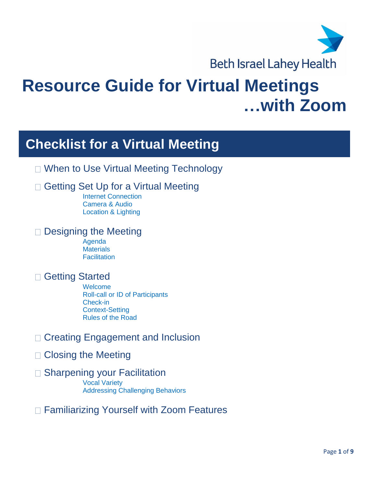

# **Resource Guide for Virtual Meetings …with Zoom**

## **Checklist for a Virtual Meeting**

□ When to Use Virtual Meeting Technology

## □ Getting Set Up for a Virtual Meeting

Internet Connection Camera & Audio Location & Lighting

#### □ Designing the Meeting

Agenda **Materials Facilitation** 

### □ Getting Started

Welcome Roll-call or ID of Participants Check-in Context-Setting Rules of the Road

- □ Creating Engagement and Inclusion
- □ Closing the Meeting
- □ Sharpening your Facilitation

Vocal Variety Addressing Challenging Behaviors

□ Familiarizing Yourself with Zoom Features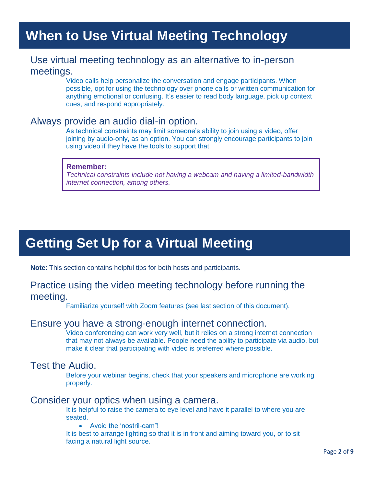## **When to Use Virtual Meeting Technology**

#### Use virtual meeting technology as an alternative to in-person meetings.

Video calls help personalize the conversation and engage participants. When possible, opt for using the technology over phone calls or written communication for anything emotional or confusing. It's easier to read body language, pick up context cues, and respond appropriately.

#### Always provide an audio dial-in option.

As technical constraints may limit someone's ability to join using a video, offer joining by audio-only, as an option. You can strongly encourage participants to join using video if they have the tools to support that.

#### **Remember:**

*Technical constraints include not having a webcam and having a limited-bandwidth internet connection, among others.*

## **Getting Set Up for a Virtual Meeting**

**Note**: This section contains helpful tips for both hosts and participants.

#### Practice using the video meeting technology before running the meeting.

Familiarize yourself with Zoom features (see last section of this document).

#### Ensure you have a strong-enough internet connection.

Video conferencing can work very well, but it relies on a strong internet connection that may not always be available. People need the ability to participate via audio, but make it clear that participating with video is preferred where possible.

#### Test the Audio.

Before your webinar begins, check that your speakers and microphone are working properly.

#### Consider your optics when using a camera.

It is helpful to raise the camera to eye level and have it parallel to where you are seated.

Avoid the 'nostril-cam"!

It is best to arrange lighting so that it is in front and aiming toward you, or to sit facing a natural light source.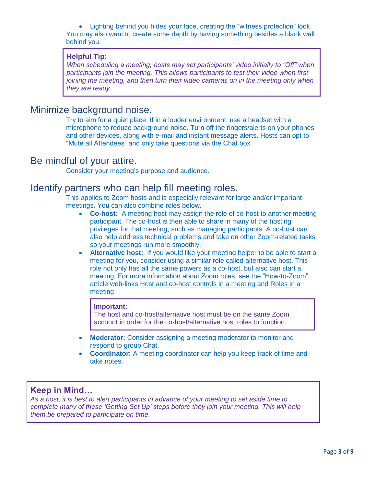Lighting behind you hides your face, creating the "witness protection" look. You may also want to create some depth by having something besides a blank wall behind you.

#### **Helpful Tip:**

*When scheduling a meeting, hosts may set participants' video initially to "Off" when participants join the meeting. This allows participants to test their video when first joining the meeting, and then turn their video cameras on in the meeting only when they are ready.*

### Minimize background noise.

Try to aim for a quiet place. If in a louder environment, use a headset with a microphone to reduce background noise. Turn off the ringers/alerts on your phones and other devices, along with e-mail and instant message alerts. Hosts can opt to "Mute all Attendees" and only take questions via the Chat box.

#### Be mindful of your attire.

Consider your meeting's purpose and audience.

#### Identify partners who can help fill meeting roles.

This applies to Zoom hosts and is especially relevant for large and/or important meetings. You can also combine roles below.

- **Co-host:** A meeting host may assign the role of co-host to another meeting participant. The co-host is then able to share in many of the hosting privileges for that meeting, such as managing participants. A co-host can also help address technical problems and take on other Zoom-related tasks so your meetings run more smoothly.
- **Alternative host:** If you would like your meeting helper to be able to start a meeting for you, consider using a similar role called alternative host. This role not only has all the same powers as a co-host, but also can start a meeting. For more information about Zoom roles, see the "How-to-Zoom" article web-links [Host and co-host controls in a meeting](https://support.zoom.us/hc/en-us/articles/201362603-Host-and-co-host-controls-in-a-meeting) and [Roles in a](https://support.zoom.us/hc/en-us/articles/360040324512)  [meeting.](https://support.zoom.us/hc/en-us/articles/360040324512)

#### **Important:**

The host and co-host/alternative host must be on the same Zoom account in order for the co-host/alternative host roles to function.

- **Moderator:** Consider assigning a meeting moderator to monitor and respond to group Chat.
- **Coordinator:** A meeting coordinator can help you keep track of time and take notes.

#### **Keep in Mind…**

*As a host, it is best to alert participants in advance of your meeting to set aside time to complete many of these 'Getting Set Up' steps before they join your meeting. This will help them be prepared to participate on time.*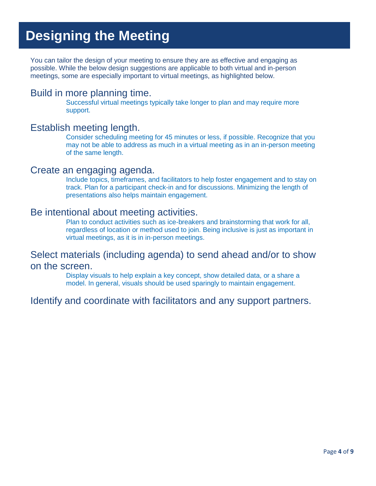## **Designing the Meeting**

You can tailor the design of your meeting to ensure they are as effective and engaging as possible. While the below design suggestions are applicable to both virtual and in-person meetings, some are especially important to virtual meetings, as highlighted below.

#### Build in more planning time.

Successful virtual meetings typically take longer to plan and may require more support.

#### Establish meeting length.

Consider scheduling meeting for 45 minutes or less, if possible. Recognize that you may not be able to address as much in a virtual meeting as in an in-person meeting of the same length.

#### Create an engaging agenda.

Include topics, timeframes, and facilitators to help foster engagement and to stay on track. Plan for a participant check-in and for discussions. Minimizing the length of presentations also helps maintain engagement.

#### Be intentional about meeting activities.

Plan to conduct activities such as ice-breakers and brainstorming that work for all, regardless of location or method used to join. Being inclusive is just as important in virtual meetings, as it is in in-person meetings.

#### Select materials (including agenda) to send ahead and/or to show on the screen.

Display visuals to help explain a key concept, show detailed data, or a share a model. In general, visuals should be used sparingly to maintain engagement.

### Identify and coordinate with facilitators and any support partners.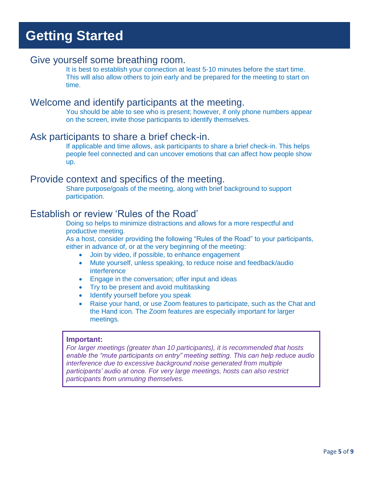## **Getting Started**

#### Give yourself some breathing room.

It is best to establish your connection at least 5-10 minutes before the start time. This will also allow others to join early and be prepared for the meeting to start on time.

### Welcome and identify participants at the meeting.

You should be able to see who is present; however, if only phone numbers appear on the screen, invite those participants to identify themselves.

#### Ask participants to share a brief check-in.

If applicable and time allows, ask participants to share a brief check-in. This helps people feel connected and can uncover emotions that can affect how people show up.

#### Provide context and specifics of the meeting.

Share purpose/goals of the meeting, along with brief background to support participation.

#### Establish or review 'Rules of the Road'

Doing so helps to minimize distractions and allows for a more respectful and productive meeting.

As a host, consider providing the following "Rules of the Road" to your participants, either in advance of, or at the very beginning of the meeting:

- Join by video, if possible, to enhance engagement
- Mute yourself, unless speaking, to reduce noise and feedback/audio interference
- Engage in the conversation; offer input and ideas
- Try to be present and avoid multitasking
- Identify yourself before you speak
- Raise your hand, or use Zoom features to participate, such as the Chat and the Hand icon. The Zoom features are especially important for larger meetings.

#### **Important:**

*For larger meetings (greater than 10 participants), it is recommended that hosts enable the "mute participants on entry" meeting setting. This can help reduce audio interference due to excessive background noise generated from multiple participants' audio at once. For very large meetings, hosts can also restrict participants from unmuting themselves.*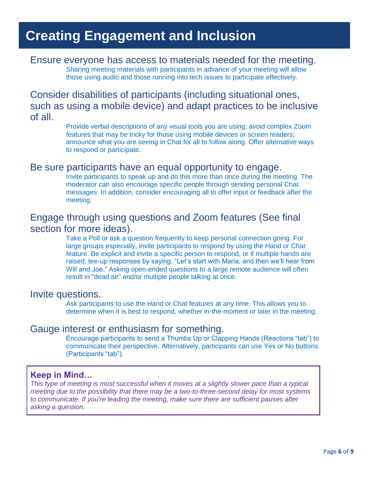## **Creating Engagement and Inclusion**

#### Ensure everyone has access to materials needed for the meeting. Sharing meeting materials with participants in advance of your meeting will allow

those using audio and those running into tech issues to participate effectively.

Consider disabilities of participants (including situational ones, such as using a mobile device) and adapt practices to be inclusive of all.

> Provide verbal descriptions of any visual tools you are using; avoid complex Zoom features that may be tricky for those using mobile devices or screen readers; announce what you are seeing in Chat for all to follow along. Offer alternative ways to respond or participate.

#### Be sure participants have an equal opportunity to engage.

Invite participants to speak up and do this more than once during the meeting. The moderator can also encourage specific people through sending personal Chat messages. In addition, consider encouraging all to offer input or feedback after the meeting.

### Engage through using questions and Zoom features (See final section for more ideas).

Take a Poll or ask a question frequently to keep personal connection going. For large groups especially, invite participants to respond by using the Hand or Chat feature. Be explicit and invite a specific person to respond, or if multiple hands are raised, tee-up responses by saying, "Let's start with Maria, and then we'll hear from Will and Joe." Asking open-ended questions to a large remote audience will often result in "dead air" and/or multiple people talking at once.

#### Invite questions.

Ask participants to use the Hand or Chat features at any time. This allows you to determine when it is best to respond, whether in-the-moment or later in the meeting.

#### Gauge interest or enthusiasm for something.

Encourage participants to send a Thumbs Up or Clapping Hands (Reactions "tab") to communicate their perspective. Alternatively, participants can use Yes or No buttons (Participants "tab").

#### **Keep in Mind…**

*This type of meeting is most successful when it moves at a slightly slower pace than a typical meeting due to the possibility that there may be a two-to-three-second delay for most systems to communicate. If you're leading the meeting, make sure there are sufficient pauses after asking a question.*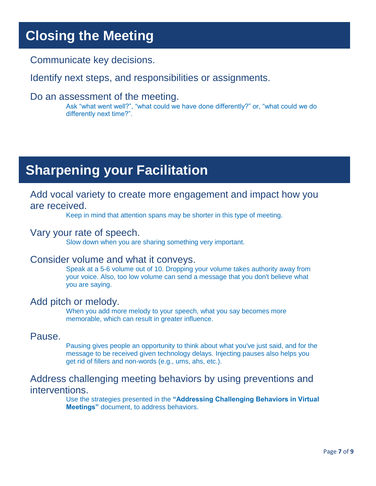## **Closing the Meeting**

Communicate key decisions.

Identify next steps, and responsibilities or assignments.

#### Do an assessment of the meeting.

Ask "what went well?", "what could we have done differently?" or, "what could we do differently next time?".

## **Sharpening your Facilitation**

#### Add vocal variety to create more engagement and impact how you are received.

Keep in mind that attention spans may be shorter in this type of meeting.

#### Vary your rate of speech.

Slow down when you are sharing something very important.

#### Consider volume and what it conveys.

Speak at a 5-6 volume out of 10. Dropping your volume takes authority away from your voice. Also, too low volume can send a message that you don't believe what you are saying.

#### Add pitch or melody.

When you add more melody to your speech, what you say becomes more memorable, which can result in greater influence.

#### Pause.

Pausing gives people an opportunity to think about what you've just said, and for the message to be received given technology delays. Injecting pauses also helps you get rid of fillers and non-words (e.g., ums, ahs, etc.).

### Address challenging meeting behaviors by using preventions and interventions.

Use the strategies presented in the **"Addressing Challenging Behaviors in Virtual Meetings"** document, to address behaviors.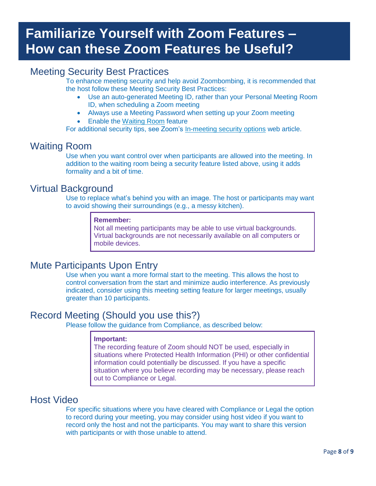## **Familiarize Yourself with Zoom Features – How can these Zoom Features be Useful?**

### Meeting Security Best Practices

To enhance meeting security and help avoid Zoombombing, it is recommended that the host follow these Meeting Security Best Practices:

- Use an auto-generated Meeting ID, rather than your Personal Meeting Room ID, when scheduling a Zoom meeting
- Always use a Meeting Password when setting up your Zoom meeting
- Enable the [Waiting Room](https://support.zoom.us/hc/en-us/articles/115000332726-Waiting-Room) feature

For additional security tips, see Zoom's [In-meeting security options](https://support.zoom.us/hc/en-us/articles/360041848151-In-meeting-security-options) web article.

#### Waiting Room

Use when you want control over when participants are allowed into the meeting. In addition to the waiting room being a security feature listed above, using it adds formality and a bit of time.

#### Virtual Background

Use to replace what's behind you with an image. The host or participants may want to avoid showing their surroundings (e.g., a messy kitchen).

#### **Remember:**

Not all meeting participants may be able to use virtual backgrounds. Virtual backgrounds are not necessarily available on all computers or mobile devices.

### Mute Participants Upon Entry

Use when you want a more formal start to the meeting. This allows the host to control conversation from the start and minimize audio interference. As previously indicated, consider using this meeting setting feature for larger meetings, usually greater than 10 participants.

#### Record Meeting (Should you use this?)

Please follow the guidance from Compliance, as described below:

#### **Important:**

The recording feature of Zoom should NOT be used, especially in situations where Protected Health Information (PHI) or other confidential information could potentially be discussed. If you have a specific situation where you believe recording may be necessary, please reach out to Compliance or Legal.

#### Host Video

For specific situations where you have cleared with Compliance or Legal the option to record during your meeting, you may consider using host video if you want to record only the host and not the participants. You may want to share this version with participants or with those unable to attend.